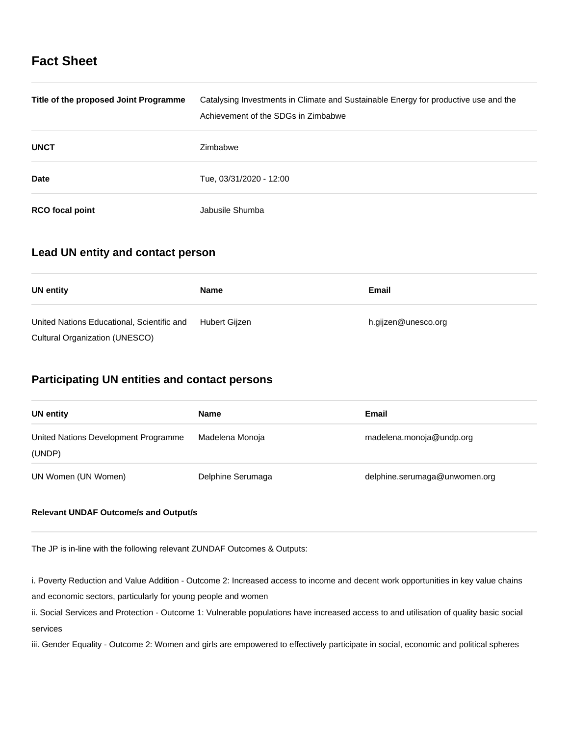# **Fact Sheet**

| Title of the proposed Joint Programme | Catalysing Investments in Climate and Sustainable Energy for productive use and the<br>Achievement of the SDGs in Zimbabwe |
|---------------------------------------|----------------------------------------------------------------------------------------------------------------------------|
| <b>UNCT</b>                           | Zimbabwe                                                                                                                   |
| Date                                  | Tue, 03/31/2020 - 12:00                                                                                                    |
| <b>RCO</b> focal point                | Jabusile Shumba                                                                                                            |

# **Lead UN entity and contact person**

| UN entity                                  | <b>Name</b>   | Email               |
|--------------------------------------------|---------------|---------------------|
| United Nations Educational, Scientific and | Hubert Gijzen | h.gijzen@unesco.org |
| <b>Cultural Organization (UNESCO)</b>      |               |                     |

# **Participating UN entities and contact persons**

| UN entity                                      | Name              | Email                         |
|------------------------------------------------|-------------------|-------------------------------|
| United Nations Development Programme<br>(UNDP) | Madelena Monoja   | madelena.monoja@undp.org      |
| UN Women (UN Women)                            | Delphine Serumaga | delphine.serumaga@unwomen.org |

# **Relevant UNDAF Outcome/s and Output/s**

The JP is in-line with the following relevant ZUNDAF Outcomes & Outputs:

i. Poverty Reduction and Value Addition - Outcome 2: Increased access to income and decent work opportunities in key value chains and economic sectors, particularly for young people and women

ii. Social Services and Protection - Outcome 1: Vulnerable populations have increased access to and utilisation of quality basic social services

iii. Gender Equality - Outcome 2: Women and girls are empowered to effectively participate in social, economic and political spheres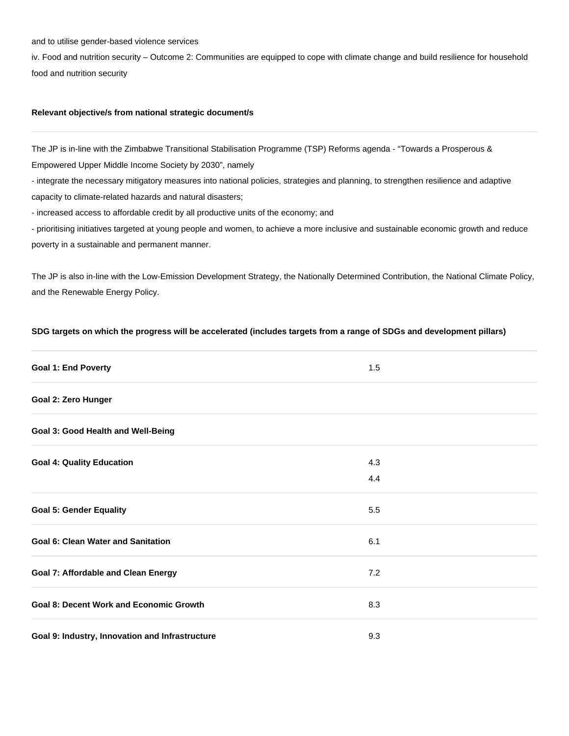### and to utilise gender-based violence services

iv. Food and nutrition security – Outcome 2: Communities are equipped to cope with climate change and build resilience for household food and nutrition security

# **Relevant objective/s from national strategic document/s**

The JP is in-line with the Zimbabwe Transitional Stabilisation Programme (TSP) Reforms agenda - "Towards a Prosperous & Empowered Upper Middle Income Society by 2030", namely

- integrate the necessary mitigatory measures into national policies, strategies and planning, to strengthen resilience and adaptive capacity to climate-related hazards and natural disasters;

- increased access to affordable credit by all productive units of the economy; and

- prioritising initiatives targeted at young people and women, to achieve a more inclusive and sustainable economic growth and reduce poverty in a sustainable and permanent manner.

The JP is also in-line with the Low-Emission Development Strategy, the Nationally Determined Contribution, the National Climate Policy, and the Renewable Energy Policy.

**SDG targets on which the progress will be accelerated (includes targets from a range of SDGs and development pillars)**

# **Goal 1: End Poverty** 1.5 **Goal 2: Zero Hunger Goal 3: Good Health and Well-Being Goal 4: Quality Education** 4.3 4.4 **Goal 5: Gender Equality** 5.5 **Goal 6: Clean Water and Sanitation** 6.1 **Clean Water and Sanitation** 6.1 **Goal 7: Affordable and Clean Energy** 7.2 **Goal 8: Decent Work and Economic Growth 6.3 and 8.3 and 8.3 and 8.3 and 8.3 and 8.3 and 8.3 and 8.3 and 8.3 and 8.3 and 8.3 and 8.3 and 8.3 and 8.3 and 8.3 and 8.3 and 8.3 and 8.4 and 8.3 and 8.4 and 8.6 and 8.7 and 8.8 a Goal 9: Industry, Innovation and Infrastructure** 9.3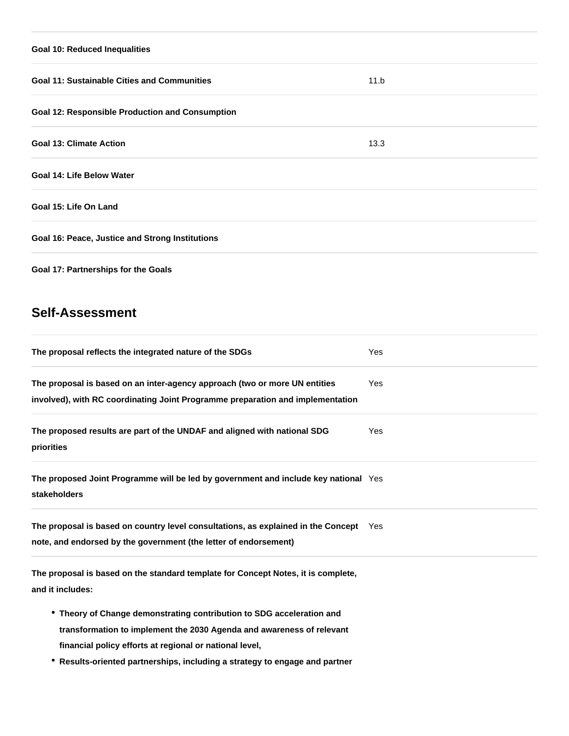# **Goal 10: Reduced Inequalities Goal 11: Sustainable Cities and Communities 11.b** 11.b **Goal 12: Responsible Production and Consumption Goal 13: Climate Action** 13.3 **Goal 14: Life Below Water Goal 15: Life On Land Goal 16: Peace, Justice and Strong Institutions Goal 17: Partnerships for the Goals**

# **Self-Assessment**

| The proposal reflects the integrated nature of the SDGs                                                                                                                                                   | Yes |
|-----------------------------------------------------------------------------------------------------------------------------------------------------------------------------------------------------------|-----|
| The proposal is based on an inter-agency approach (two or more UN entities<br>involved), with RC coordinating Joint Programme preparation and implementation                                              | Yes |
| The proposed results are part of the UNDAF and aligned with national SDG<br>priorities                                                                                                                    | Yes |
| The proposed Joint Programme will be led by government and include key national Yes<br>stakeholders                                                                                                       |     |
| The proposal is based on country level consultations, as explained in the Concept Yes<br>note, and endorsed by the government (the letter of endorsement)                                                 |     |
| The proposal is based on the standard template for Concept Notes, it is complete,<br>and it includes:                                                                                                     |     |
| • Theory of Change demonstrating contribution to SDG acceleration and<br>transformation to implement the 2030 Agenda and awareness of relevant<br>financial policy efforts at regional or national level, |     |

**Results-oriented partnerships, including a strategy to engage and partner**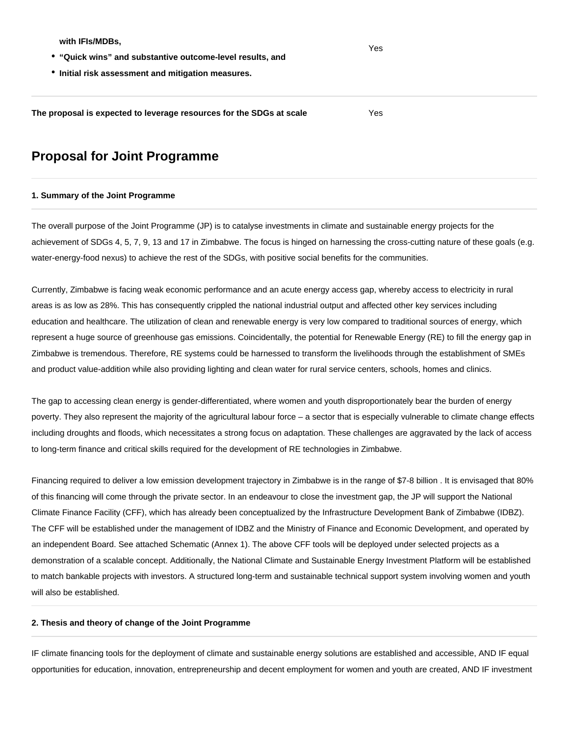**with IFIs/MDBs,**

- **"Quick wins" and substantive outcome-level results, and**
- **Initial risk assessment and mitigation measures.**

**The proposal is expected to leverage resources for the SDGs at scale** Yes

# **Proposal for Joint Programme**

#### **1. Summary of the Joint Programme**

The overall purpose of the Joint Programme (JP) is to catalyse investments in climate and sustainable energy projects for the achievement of SDGs 4, 5, 7, 9, 13 and 17 in Zimbabwe. The focus is hinged on harnessing the cross-cutting nature of these goals (e.g. water-energy-food nexus) to achieve the rest of the SDGs, with positive social benefits for the communities.

Currently, Zimbabwe is facing weak economic performance and an acute energy access gap, whereby access to electricity in rural areas is as low as 28%. This has consequently crippled the national industrial output and affected other key services including education and healthcare. The utilization of clean and renewable energy is very low compared to traditional sources of energy, which represent a huge source of greenhouse gas emissions. Coincidentally, the potential for Renewable Energy (RE) to fill the energy gap in Zimbabwe is tremendous. Therefore, RE systems could be harnessed to transform the livelihoods through the establishment of SMEs and product value-addition while also providing lighting and clean water for rural service centers, schools, homes and clinics.

The gap to accessing clean energy is gender-differentiated, where women and youth disproportionately bear the burden of energy poverty. They also represent the majority of the agricultural labour force – a sector that is especially vulnerable to climate change effects including droughts and floods, which necessitates a strong focus on adaptation. These challenges are aggravated by the lack of access to long-term finance and critical skills required for the development of RE technologies in Zimbabwe.

Financing required to deliver a low emission development trajectory in Zimbabwe is in the range of \$7-8 billion . It is envisaged that 80% of this financing will come through the private sector. In an endeavour to close the investment gap, the JP will support the National Climate Finance Facility (CFF), which has already been conceptualized by the Infrastructure Development Bank of Zimbabwe (IDBZ). The CFF will be established under the management of IDBZ and the Ministry of Finance and Economic Development, and operated by an independent Board. See attached Schematic (Annex 1). The above CFF tools will be deployed under selected projects as a demonstration of a scalable concept. Additionally, the National Climate and Sustainable Energy Investment Platform will be established to match bankable projects with investors. A structured long-term and sustainable technical support system involving women and youth will also be established.

## **2. Thesis and theory of change of the Joint Programme**

IF climate financing tools for the deployment of climate and sustainable energy solutions are established and accessible, AND IF equal opportunities for education, innovation, entrepreneurship and decent employment for women and youth are created, AND IF investment

Yes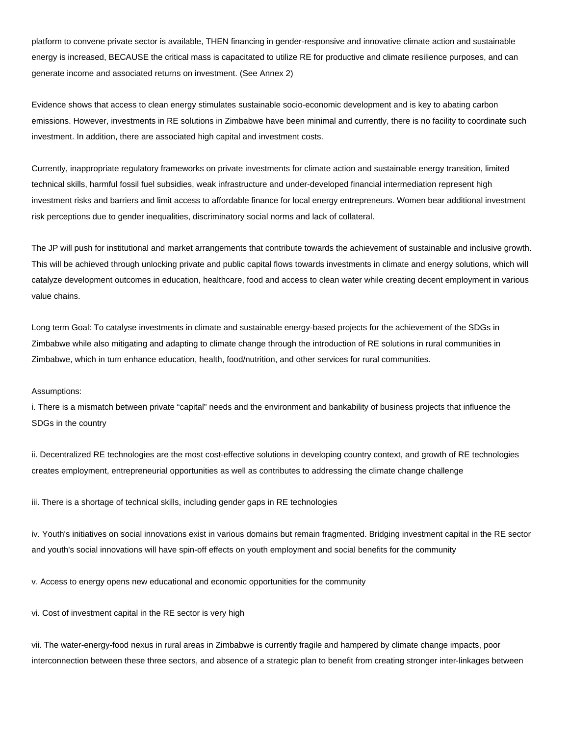platform to convene private sector is available, THEN financing in gender-responsive and innovative climate action and sustainable energy is increased, BECAUSE the critical mass is capacitated to utilize RE for productive and climate resilience purposes, and can generate income and associated returns on investment. (See Annex 2)

Evidence shows that access to clean energy stimulates sustainable socio-economic development and is key to abating carbon emissions. However, investments in RE solutions in Zimbabwe have been minimal and currently, there is no facility to coordinate such investment. In addition, there are associated high capital and investment costs.

Currently, inappropriate regulatory frameworks on private investments for climate action and sustainable energy transition, limited technical skills, harmful fossil fuel subsidies, weak infrastructure and under-developed financial intermediation represent high investment risks and barriers and limit access to affordable finance for local energy entrepreneurs. Women bear additional investment risk perceptions due to gender inequalities, discriminatory social norms and lack of collateral.

The JP will push for institutional and market arrangements that contribute towards the achievement of sustainable and inclusive growth. This will be achieved through unlocking private and public capital flows towards investments in climate and energy solutions, which will catalyze development outcomes in education, healthcare, food and access to clean water while creating decent employment in various value chains.

Long term Goal: To catalyse investments in climate and sustainable energy-based projects for the achievement of the SDGs in Zimbabwe while also mitigating and adapting to climate change through the introduction of RE solutions in rural communities in Zimbabwe, which in turn enhance education, health, food/nutrition, and other services for rural communities.

#### Assumptions:

i. There is a mismatch between private "capital" needs and the environment and bankability of business projects that influence the SDGs in the country

ii. Decentralized RE technologies are the most cost-effective solutions in developing country context, and growth of RE technologies creates employment, entrepreneurial opportunities as well as contributes to addressing the climate change challenge

iii. There is a shortage of technical skills, including gender gaps in RE technologies

iv. Youth's initiatives on social innovations exist in various domains but remain fragmented. Bridging investment capital in the RE sector and youth's social innovations will have spin-off effects on youth employment and social benefits for the community

v. Access to energy opens new educational and economic opportunities for the community

vi. Cost of investment capital in the RE sector is very high

vii. The water-energy-food nexus in rural areas in Zimbabwe is currently fragile and hampered by climate change impacts, poor interconnection between these three sectors, and absence of a strategic plan to benefit from creating stronger inter-linkages between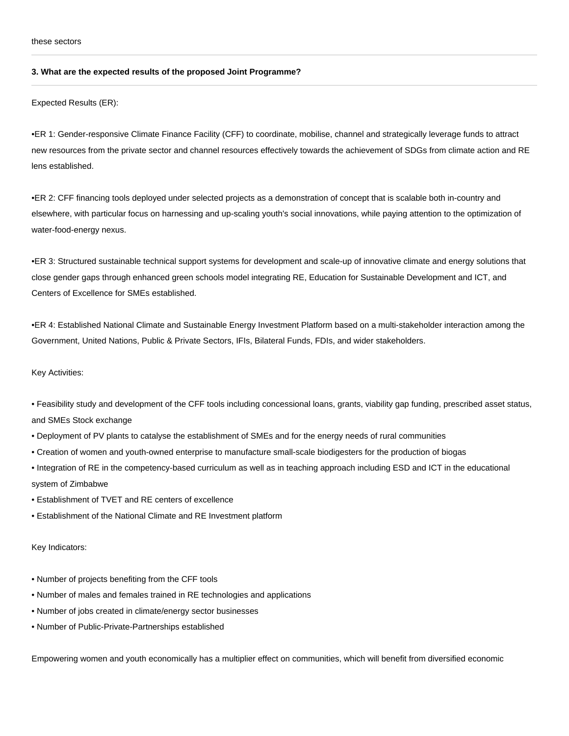## **3. What are the expected results of the proposed Joint Programme?**

Expected Results (ER):

•ER 1: Gender-responsive Climate Finance Facility (CFF) to coordinate, mobilise, channel and strategically leverage funds to attract new resources from the private sector and channel resources effectively towards the achievement of SDGs from climate action and RE lens established.

•ER 2: CFF financing tools deployed under selected projects as a demonstration of concept that is scalable both in-country and elsewhere, with particular focus on harnessing and up-scaling youth's social innovations, while paying attention to the optimization of water-food-energy nexus.

•ER 3: Structured sustainable technical support systems for development and scale-up of innovative climate and energy solutions that close gender gaps through enhanced green schools model integrating RE, Education for Sustainable Development and ICT, and Centers of Excellence for SMEs established.

•ER 4: Established National Climate and Sustainable Energy Investment Platform based on a multi-stakeholder interaction among the Government, United Nations, Public & Private Sectors, IFIs, Bilateral Funds, FDIs, and wider stakeholders.

## Key Activities:

• Feasibility study and development of the CFF tools including concessional loans, grants, viability gap funding, prescribed asset status, and SMEs Stock exchange

- Deployment of PV plants to catalyse the establishment of SMEs and for the energy needs of rural communities
- Creation of women and youth-owned enterprise to manufacture small-scale biodigesters for the production of biogas
- Integration of RE in the competency-based curriculum as well as in teaching approach including ESD and ICT in the educational system of Zimbabwe
- Establishment of TVET and RE centers of excellence
- Establishment of the National Climate and RE Investment platform

Key Indicators:

- Number of projects benefiting from the CFF tools
- Number of males and females trained in RE technologies and applications
- Number of jobs created in climate/energy sector businesses
- Number of Public-Private-Partnerships established

Empowering women and youth economically has a multiplier effect on communities, which will benefit from diversified economic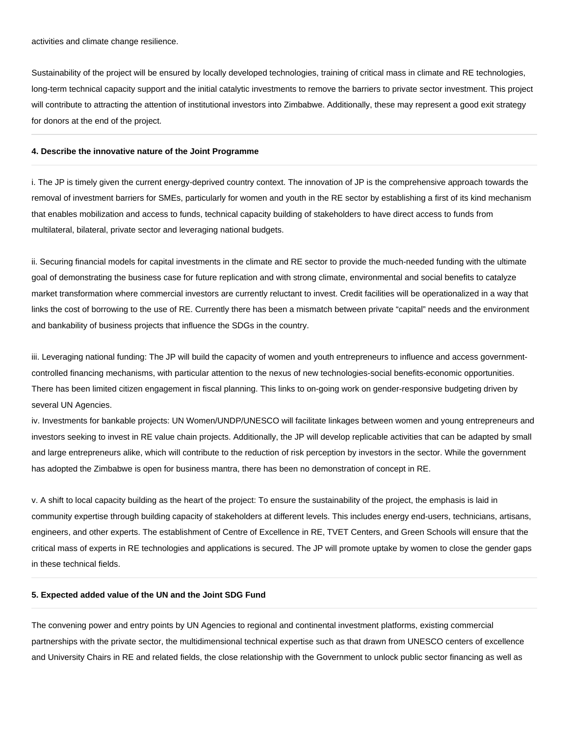Sustainability of the project will be ensured by locally developed technologies, training of critical mass in climate and RE technologies, long-term technical capacity support and the initial catalytic investments to remove the barriers to private sector investment. This project will contribute to attracting the attention of institutional investors into Zimbabwe. Additionally, these may represent a good exit strategy for donors at the end of the project.

## **4. Describe the innovative nature of the Joint Programme**

i. The JP is timely given the current energy-deprived country context. The innovation of JP is the comprehensive approach towards the removal of investment barriers for SMEs, particularly for women and youth in the RE sector by establishing a first of its kind mechanism that enables mobilization and access to funds, technical capacity building of stakeholders to have direct access to funds from multilateral, bilateral, private sector and leveraging national budgets.

ii. Securing financial models for capital investments in the climate and RE sector to provide the much-needed funding with the ultimate goal of demonstrating the business case for future replication and with strong climate, environmental and social benefits to catalyze market transformation where commercial investors are currently reluctant to invest. Credit facilities will be operationalized in a way that links the cost of borrowing to the use of RE. Currently there has been a mismatch between private "capital" needs and the environment and bankability of business projects that influence the SDGs in the country.

iii. Leveraging national funding: The JP will build the capacity of women and youth entrepreneurs to influence and access governmentcontrolled financing mechanisms, with particular attention to the nexus of new technologies-social benefits-economic opportunities. There has been limited citizen engagement in fiscal planning. This links to on-going work on gender-responsive budgeting driven by several UN Agencies.

iv. Investments for bankable projects: UN Women/UNDP/UNESCO will facilitate linkages between women and young entrepreneurs and investors seeking to invest in RE value chain projects. Additionally, the JP will develop replicable activities that can be adapted by small and large entrepreneurs alike, which will contribute to the reduction of risk perception by investors in the sector. While the government has adopted the Zimbabwe is open for business mantra, there has been no demonstration of concept in RE.

v. A shift to local capacity building as the heart of the project: To ensure the sustainability of the project, the emphasis is laid in community expertise through building capacity of stakeholders at different levels. This includes energy end-users, technicians, artisans, engineers, and other experts. The establishment of Centre of Excellence in RE, TVET Centers, and Green Schools will ensure that the critical mass of experts in RE technologies and applications is secured. The JP will promote uptake by women to close the gender gaps in these technical fields.

#### **5. Expected added value of the UN and the Joint SDG Fund**

The convening power and entry points by UN Agencies to regional and continental investment platforms, existing commercial partnerships with the private sector, the multidimensional technical expertise such as that drawn from UNESCO centers of excellence and University Chairs in RE and related fields, the close relationship with the Government to unlock public sector financing as well as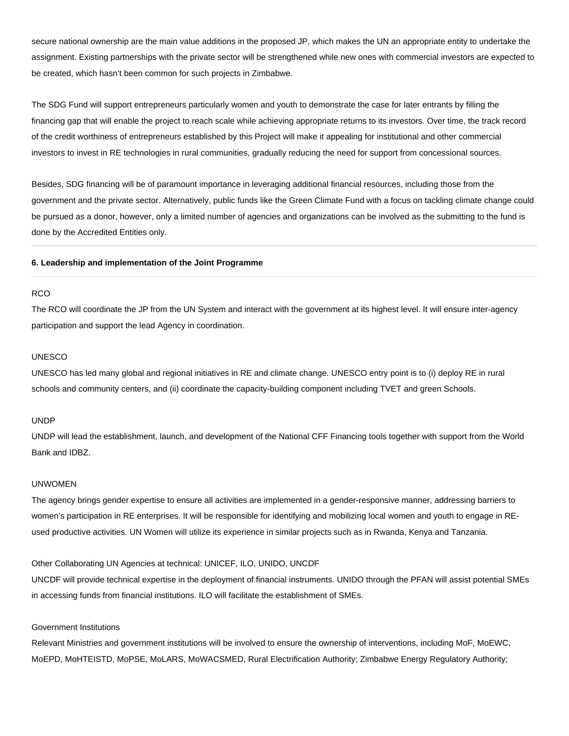secure national ownership are the main value additions in the proposed JP, which makes the UN an appropriate entity to undertake the assignment. Existing partnerships with the private sector will be strengthened while new ones with commercial investors are expected to be created, which hasn't been common for such projects in Zimbabwe.

The SDG Fund will support entrepreneurs particularly women and youth to demonstrate the case for later entrants by filling the financing gap that will enable the project to reach scale while achieving appropriate returns to its investors. Over time, the track record of the credit worthiness of entrepreneurs established by this Project will make it appealing for institutional and other commercial investors to invest in RE technologies in rural communities, gradually reducing the need for support from concessional sources.

Besides, SDG financing will be of paramount importance in leveraging additional financial resources, including those from the government and the private sector. Alternatively, public funds like the Green Climate Fund with a focus on tackling climate change could be pursued as a donor, however, only a limited number of agencies and organizations can be involved as the submitting to the fund is done by the Accredited Entities only.

#### **6. Leadership and implementation of the Joint Programme**

# RCO

The RCO will coordinate the JP from the UN System and interact with the government at its highest level. It will ensure inter-agency participation and support the lead Agency in coordination.

#### UNESCO

UNESCO has led many global and regional initiatives in RE and climate change. UNESCO entry point is to (i) deploy RE in rural schools and community centers, and (ii) coordinate the capacity-building component including TVET and green Schools.

## UNDP

UNDP will lead the establishment, launch, and development of the National CFF Financing tools together with support from the World Bank and IDBZ.

## UNWOMEN

The agency brings gender expertise to ensure all activities are implemented in a gender-responsive manner, addressing barriers to women's participation in RE enterprises. It will be responsible for identifying and mobilizing local women and youth to engage in REused productive activities. UN Women will utilize its experience in similar projects such as in Rwanda, Kenya and Tanzania.

#### Other Collaborating UN Agencies at technical: UNICEF, ILO, UNIDO, UNCDF

UNCDF will provide technical expertise in the deployment of financial instruments. UNIDO through the PFAN will assist potential SMEs in accessing funds from financial institutions. ILO will facilitate the establishment of SMEs.

## Government Institutions

Relevant Ministries and government institutions will be involved to ensure the ownership of interventions, including MoF, MoEWC, MoEPD, MoHTEISTD, MoPSE, MoLARS, MoWACSMED, Rural Electrification Authority; Zimbabwe Energy Regulatory Authority;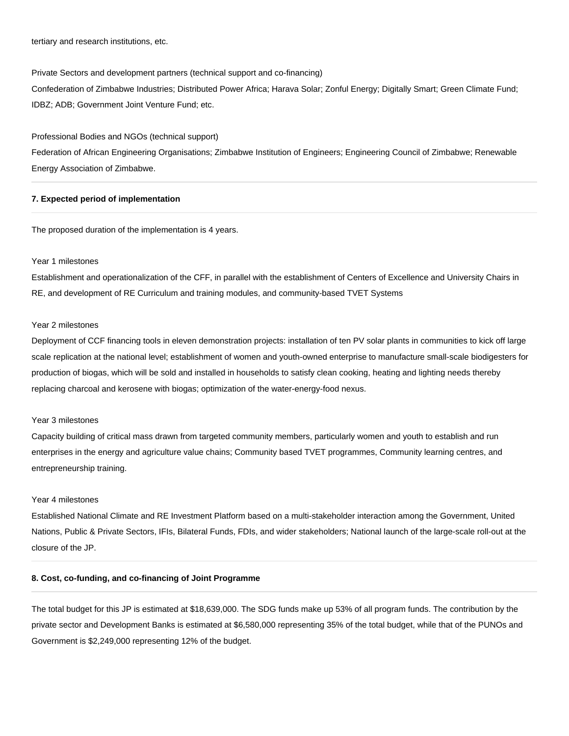tertiary and research institutions, etc.

Private Sectors and development partners (technical support and co-financing) Confederation of Zimbabwe Industries; Distributed Power Africa; Harava Solar; Zonful Energy; Digitally Smart; Green Climate Fund; IDBZ; ADB; Government Joint Venture Fund; etc.

Professional Bodies and NGOs (technical support)

Federation of African Engineering Organisations; Zimbabwe Institution of Engineers; Engineering Council of Zimbabwe; Renewable Energy Association of Zimbabwe.

# **7. Expected period of implementation**

The proposed duration of the implementation is 4 years.

# Year 1 milestones

Establishment and operationalization of the CFF, in parallel with the establishment of Centers of Excellence and University Chairs in RE, and development of RE Curriculum and training modules, and community-based TVET Systems

#### Year 2 milestones

Deployment of CCF financing tools in eleven demonstration projects: installation of ten PV solar plants in communities to kick off large scale replication at the national level; establishment of women and youth-owned enterprise to manufacture small-scale biodigesters for production of biogas, which will be sold and installed in households to satisfy clean cooking, heating and lighting needs thereby replacing charcoal and kerosene with biogas; optimization of the water-energy-food nexus.

# Year 3 milestones

Capacity building of critical mass drawn from targeted community members, particularly women and youth to establish and run enterprises in the energy and agriculture value chains; Community based TVET programmes, Community learning centres, and entrepreneurship training.

#### Year 4 milestones

Established National Climate and RE Investment Platform based on a multi-stakeholder interaction among the Government, United Nations, Public & Private Sectors, IFIs, Bilateral Funds, FDIs, and wider stakeholders; National launch of the large-scale roll-out at the closure of the JP.

## **8. Cost, co-funding, and co-financing of Joint Programme**

The total budget for this JP is estimated at \$18,639,000. The SDG funds make up 53% of all program funds. The contribution by the private sector and Development Banks is estimated at \$6,580,000 representing 35% of the total budget, while that of the PUNOs and Government is \$2,249,000 representing 12% of the budget.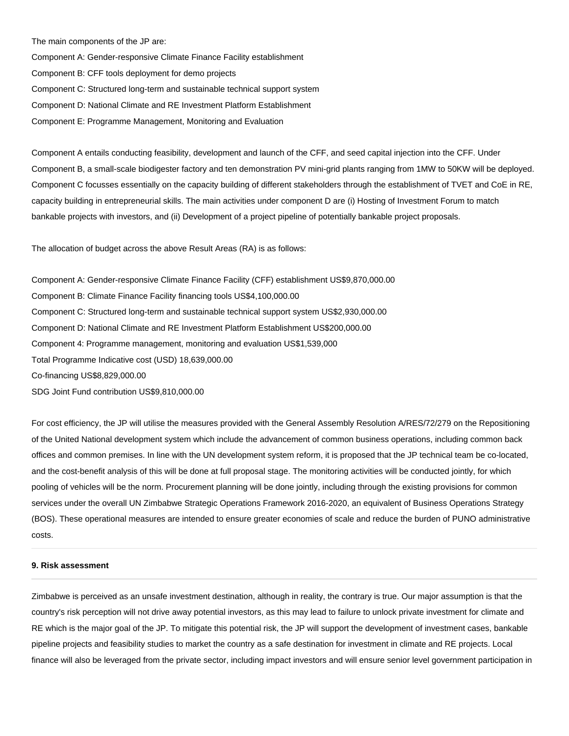The main components of the JP are:

Component A: Gender-responsive Climate Finance Facility establishment

Component B: CFF tools deployment for demo projects

Component C: Structured long-term and sustainable technical support system

Component D: National Climate and RE Investment Platform Establishment

Component E: Programme Management, Monitoring and Evaluation

Component A entails conducting feasibility, development and launch of the CFF, and seed capital injection into the CFF. Under Component B, a small-scale biodigester factory and ten demonstration PV mini-grid plants ranging from 1MW to 50KW will be deployed. Component C focusses essentially on the capacity building of different stakeholders through the establishment of TVET and CoE in RE, capacity building in entrepreneurial skills. The main activities under component D are (i) Hosting of Investment Forum to match bankable projects with investors, and (ii) Development of a project pipeline of potentially bankable project proposals.

The allocation of budget across the above Result Areas (RA) is as follows:

Component A: Gender-responsive Climate Finance Facility (CFF) establishment US\$9,870,000.00 Component B: Climate Finance Facility financing tools US\$4,100,000.00 Component C: Structured long-term and sustainable technical support system US\$2,930,000.00 Component D: National Climate and RE Investment Platform Establishment US\$200,000.00 Component 4: Programme management, monitoring and evaluation US\$1,539,000 Total Programme Indicative cost (USD) 18,639,000.00 Co-financing US\$8,829,000.00 SDG Joint Fund contribution US\$9,810,000.00

For cost efficiency, the JP will utilise the measures provided with the General Assembly Resolution A/RES/72/279 on the Repositioning of the United National development system which include the advancement of common business operations, including common back offices and common premises. In line with the UN development system reform, it is proposed that the JP technical team be co-located, and the cost-benefit analysis of this will be done at full proposal stage. The monitoring activities will be conducted jointly, for which pooling of vehicles will be the norm. Procurement planning will be done jointly, including through the existing provisions for common services under the overall UN Zimbabwe Strategic Operations Framework 2016-2020, an equivalent of Business Operations Strategy (BOS). These operational measures are intended to ensure greater economies of scale and reduce the burden of PUNO administrative costs.

#### **9. Risk assessment**

Zimbabwe is perceived as an unsafe investment destination, although in reality, the contrary is true. Our major assumption is that the country's risk perception will not drive away potential investors, as this may lead to failure to unlock private investment for climate and RE which is the major goal of the JP. To mitigate this potential risk, the JP will support the development of investment cases, bankable pipeline projects and feasibility studies to market the country as a safe destination for investment in climate and RE projects. Local finance will also be leveraged from the private sector, including impact investors and will ensure senior level government participation in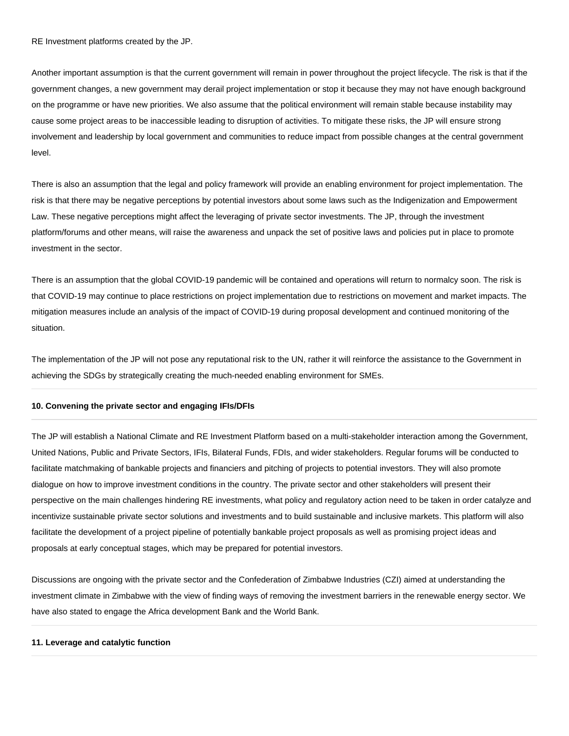RE Investment platforms created by the JP.

Another important assumption is that the current government will remain in power throughout the project lifecycle. The risk is that if the government changes, a new government may derail project implementation or stop it because they may not have enough background on the programme or have new priorities. We also assume that the political environment will remain stable because instability may cause some project areas to be inaccessible leading to disruption of activities. To mitigate these risks, the JP will ensure strong involvement and leadership by local government and communities to reduce impact from possible changes at the central government level.

There is also an assumption that the legal and policy framework will provide an enabling environment for project implementation. The risk is that there may be negative perceptions by potential investors about some laws such as the Indigenization and Empowerment Law. These negative perceptions might affect the leveraging of private sector investments. The JP, through the investment platform/forums and other means, will raise the awareness and unpack the set of positive laws and policies put in place to promote investment in the sector.

There is an assumption that the global COVID-19 pandemic will be contained and operations will return to normalcy soon. The risk is that COVID-19 may continue to place restrictions on project implementation due to restrictions on movement and market impacts. The mitigation measures include an analysis of the impact of COVID-19 during proposal development and continued monitoring of the situation.

The implementation of the JP will not pose any reputational risk to the UN, rather it will reinforce the assistance to the Government in achieving the SDGs by strategically creating the much-needed enabling environment for SMEs.

#### **10. Convening the private sector and engaging IFIs/DFIs**

The JP will establish a National Climate and RE Investment Platform based on a multi-stakeholder interaction among the Government, United Nations, Public and Private Sectors, IFIs, Bilateral Funds, FDIs, and wider stakeholders. Regular forums will be conducted to facilitate matchmaking of bankable projects and financiers and pitching of projects to potential investors. They will also promote dialogue on how to improve investment conditions in the country. The private sector and other stakeholders will present their perspective on the main challenges hindering RE investments, what policy and regulatory action need to be taken in order catalyze and incentivize sustainable private sector solutions and investments and to build sustainable and inclusive markets. This platform will also facilitate the development of a project pipeline of potentially bankable project proposals as well as promising project ideas and proposals at early conceptual stages, which may be prepared for potential investors.

Discussions are ongoing with the private sector and the Confederation of Zimbabwe Industries (CZI) aimed at understanding the investment climate in Zimbabwe with the view of finding ways of removing the investment barriers in the renewable energy sector. We have also stated to engage the Africa development Bank and the World Bank.

# **11. Leverage and catalytic function**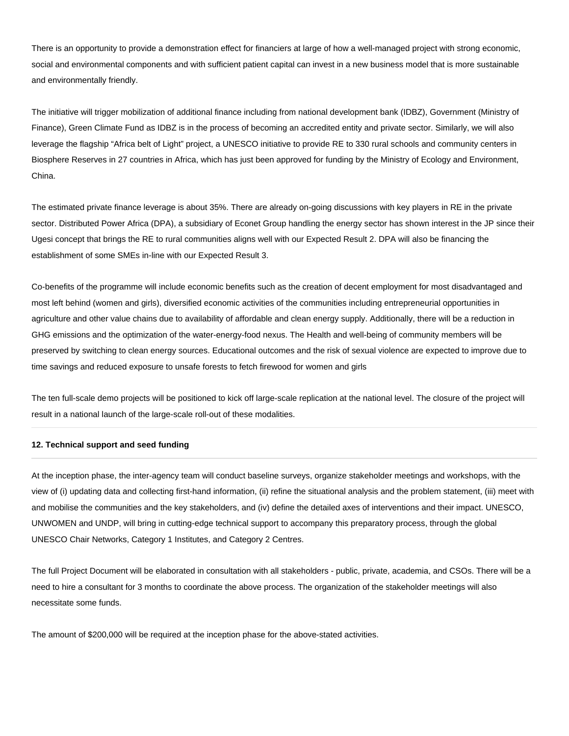There is an opportunity to provide a demonstration effect for financiers at large of how a well-managed project with strong economic, social and environmental components and with sufficient patient capital can invest in a new business model that is more sustainable and environmentally friendly.

The initiative will trigger mobilization of additional finance including from national development bank (IDBZ), Government (Ministry of Finance), Green Climate Fund as IDBZ is in the process of becoming an accredited entity and private sector. Similarly, we will also leverage the flagship "Africa belt of Light" project, a UNESCO initiative to provide RE to 330 rural schools and community centers in Biosphere Reserves in 27 countries in Africa, which has just been approved for funding by the Ministry of Ecology and Environment, China.

The estimated private finance leverage is about 35%. There are already on-going discussions with key players in RE in the private sector. Distributed Power Africa (DPA), a subsidiary of Econet Group handling the energy sector has shown interest in the JP since their Ugesi concept that brings the RE to rural communities aligns well with our Expected Result 2. DPA will also be financing the establishment of some SMEs in-line with our Expected Result 3.

Co-benefits of the programme will include economic benefits such as the creation of decent employment for most disadvantaged and most left behind (women and girls), diversified economic activities of the communities including entrepreneurial opportunities in agriculture and other value chains due to availability of affordable and clean energy supply. Additionally, there will be a reduction in GHG emissions and the optimization of the water-energy-food nexus. The Health and well-being of community members will be preserved by switching to clean energy sources. Educational outcomes and the risk of sexual violence are expected to improve due to time savings and reduced exposure to unsafe forests to fetch firewood for women and girls

The ten full-scale demo projects will be positioned to kick off large-scale replication at the national level. The closure of the project will result in a national launch of the large-scale roll-out of these modalities.

# **12. Technical support and seed funding**

At the inception phase, the inter-agency team will conduct baseline surveys, organize stakeholder meetings and workshops, with the view of (i) updating data and collecting first-hand information, (ii) refine the situational analysis and the problem statement, (iii) meet with and mobilise the communities and the key stakeholders, and (iv) define the detailed axes of interventions and their impact. UNESCO, UNWOMEN and UNDP, will bring in cutting-edge technical support to accompany this preparatory process, through the global UNESCO Chair Networks, Category 1 Institutes, and Category 2 Centres.

The full Project Document will be elaborated in consultation with all stakeholders - public, private, academia, and CSOs. There will be a need to hire a consultant for 3 months to coordinate the above process. The organization of the stakeholder meetings will also necessitate some funds.

The amount of \$200,000 will be required at the inception phase for the above-stated activities.